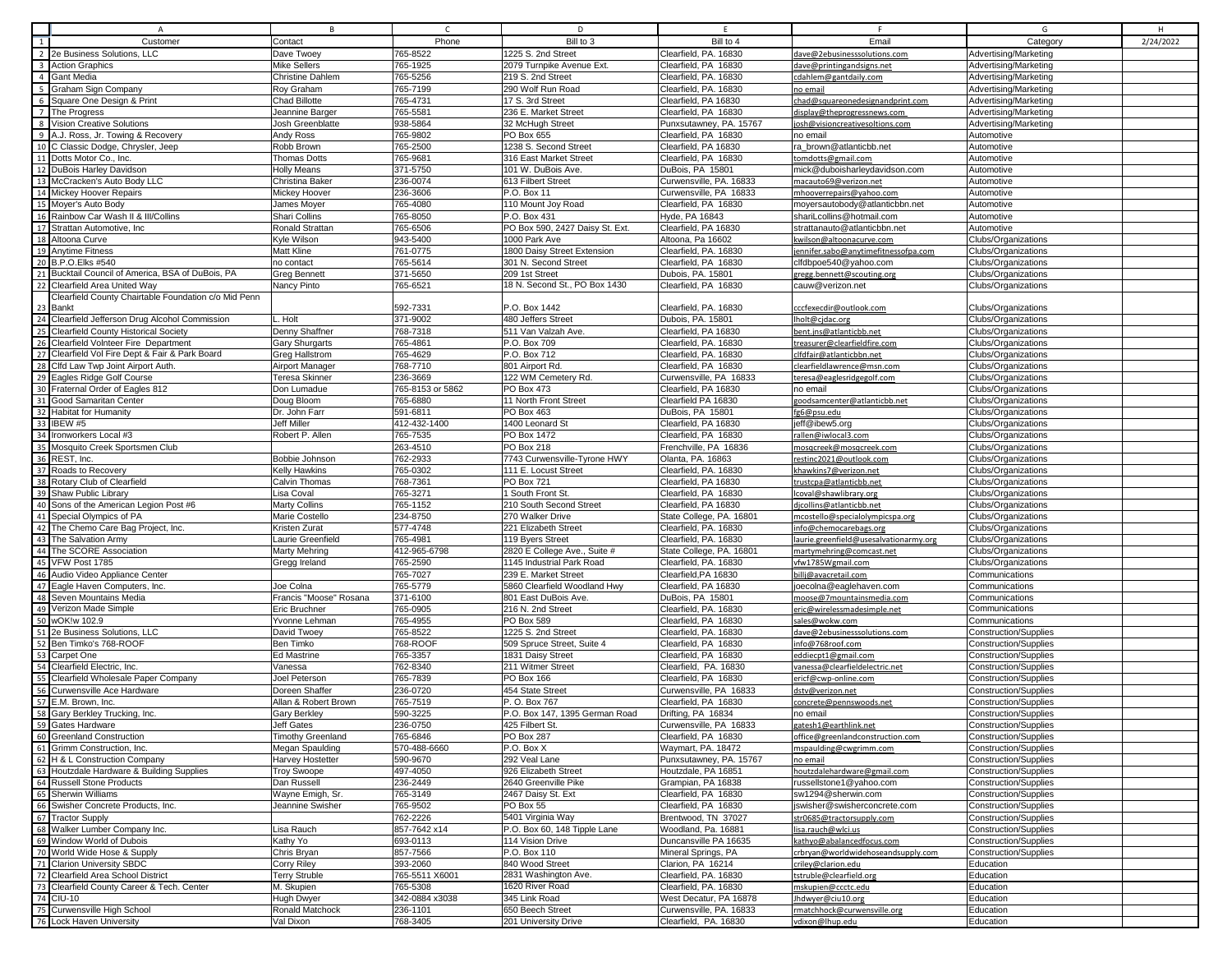|    | $\overline{A}$                                                                            | В                                      |                      | D                                               |                                                   |                                                             | G                                                            |           |
|----|-------------------------------------------------------------------------------------------|----------------------------------------|----------------------|-------------------------------------------------|---------------------------------------------------|-------------------------------------------------------------|--------------------------------------------------------------|-----------|
| 1  | Customer                                                                                  | Contact                                | Phone                | Bill to 3                                       | Bill to 4                                         | Email                                                       | Category                                                     | 2/24/2022 |
|    | 2 2e Business Solutions, LLC                                                              | Dave Twoey                             | 765-8522             | 1225 S. 2nd Street                              | Clearfield, PA. 16830                             | dave@2ebusinesssolutions.com                                | Advertising/Marketing                                        |           |
|    | 3 Action Graphics                                                                         | Mike Sellers                           | 765-1925             | 2079 Turnpike Avenue Ext.                       | Clearfield, PA 16830                              | dave@printingandsigns.net                                   | Advertising/Marketing                                        |           |
|    | 4 Gant Media                                                                              | Christine Dahlem                       | 765-5256             | 219 S. 2nd Street                               | Clearfield, PA. 16830                             | cdahlem@gantdaily.com                                       | Advertising/Marketing                                        |           |
|    | 5 Graham Sign Company                                                                     | Roy Graham                             | 765-7199             | 290 Wolf Run Road                               | Clearfield, PA. 16830                             | no email                                                    | Advertising/Marketing                                        |           |
|    | 6 Square One Design & Print                                                               | <b>Chad Billotte</b>                   | 765-4731             | 17 S. 3rd Street                                | Clearfield, PA 16830                              | chad@squareonedesignandprint.com                            | Advertising/Marketing                                        |           |
|    | 7 The Progress                                                                            | Jeannine Barger                        | 765-5581             | 236 E. Market Street                            | Clearfield, PA 16830                              | display@theprogressnews.com                                 | Advertising/Marketing                                        |           |
|    | 8 Vision Creative Solutions                                                               | Josh Greenblatte                       | 938-5864             | 32 McHugh Street                                | Punxsutawney, PA. 15767                           | josh@visioncreativesoltions.com                             | Advertising/Marketing                                        |           |
|    | 9 A.J. Ross, Jr. Towing & Recovery                                                        | Andy Ross                              | 765-9802             | PO Box 655                                      | Clearfield, PA 16830                              | no email                                                    | Automotive                                                   |           |
|    | 10 C Classic Dodge, Chrysler, Jeep                                                        | Robb Brown                             | 765-2500             | 1238 S. Second Street                           | Clearfield, PA 16830                              | ra brown@atlanticbb.net                                     | Automotive                                                   |           |
|    | 11 Dotts Motor Co., Inc.                                                                  | <b>Thomas Dotts</b>                    | 765-9681             | 316 East Market Street                          | Clearfield, PA 16830                              | tomdotts@gmail.com                                          | Automotive                                                   |           |
|    | 12 DuBois Harley Davidson<br>13 McCracken's Auto Body LLC                                 | <b>Holly Means</b>                     | 371-5750<br>236-0074 | 101 W. DuBois Ave.<br>613 Filbert Street        | DuBois, PA 15801                                  | mick@duboisharleydavidson.com                               | Automotive                                                   |           |
|    | 14 Mickey Hoover Repairs                                                                  | Christina Baker<br>Mickey Hoover       | 236-3606             | P.O. Box 11                                     | Curwensville, PA. 16833<br>Curwensville, PA 16833 | macauto69@verizon.net<br>mhooverrepairs@yahoo.com           | Automotive<br>Automotive                                     |           |
|    | 15 Moyer's Auto Body                                                                      | James Moyer                            | 765-4080             | 110 Mount Joy Road                              | Clearfield, PA 16830                              | moyersautobody@atlanticbbn.net                              | Automotive                                                   |           |
|    | 16 Rainbow Car Wash II & III/Collins                                                      | Shari Collins                          | 765-8050             | P.O. Box 431                                    | Hyde, PA 16843                                    | shariLcollins@hotmail.com                                   | Automotive                                                   |           |
|    | 17 Strattan Automotive, Inc.                                                              | Ronald Strattan                        | 765-6506             | PO Box 590, 2427 Daisy St. Ext.                 | Clearfield, PA 16830                              | strattanauto@atlanticbbn.net                                | Automotive                                                   |           |
|    | 18 Altoona Curve                                                                          | Kyle Wilson                            | 943-5400             | 1000 Park Ave                                   | Altoona, Pa 16602                                 | kwilson@altoonacurve.com                                    | <b>Clubs/Organizations</b>                                   |           |
|    | 19 Anytime Fitness                                                                        | Matt Kline                             | 761-0775             | 1800 Daisy Street Extension                     | Clearfield, PA. 16830                             | jennifer.sabo@anytimefitnessofpa.com                        | Clubs/Organizations                                          |           |
|    | 20 B.P.O.Elks #540                                                                        | no contact                             | 765-5614             | 301 N. Second Street                            | Clearfield, PA 16830                              | clfdbpoe540@yahoo.com                                       | Clubs/Organizations                                          |           |
|    | 21 Bucktail Council of America, BSA of DuBois, PA                                         | Greg Bennett                           | 371-5650             | 209 1st Street                                  | Dubois, PA. 15801                                 | gregg.bennett@scouting.org                                  | Clubs/Organizations                                          |           |
|    | 22 Clearfield Area United Way                                                             | Nancy Pinto                            | 765-6521             | 18 N. Second St., PO Box 1430                   | Clearfield, PA 16830                              | cauw@verizon.net                                            | Clubs/Organizations                                          |           |
|    | Clearfield County Chairtable Foundation c/o Mid Penn                                      |                                        |                      |                                                 |                                                   |                                                             |                                                              |           |
|    | 23 Bankt                                                                                  |                                        | 592-7331             | P.O. Box 1442                                   | Clearfield, PA. 16830                             | cccfexecdir@outlook.com                                     | Clubs/Organizations                                          |           |
|    | 24 Clearfield Jefferson Drug Alcohol Commission                                           | L. Holt                                | 371-9002             | 480 Jeffers Street                              | Dubois, PA. 15801                                 | Iholt@cjdac.org                                             | Clubs/Organizations                                          |           |
|    | 25 Clearfield County Historical Society                                                   | Denny Shaffner                         | 768-7318             | 511 Van Valzah Ave.                             | Clearfield, PA 16830                              | bent.jns@atlanticbb.net                                     | Clubs/Organizations                                          |           |
|    | 26 Clearfield Volnteer Fire Department<br>27 Clearfield Vol Fire Dept & Fair & Park Board | Gary Shurgarts<br>Greg Hallstrom       | 765-4861<br>765-4629 | P.O. Box 709<br>P.O. Box 712                    | Clearfield, PA. 16830<br>Clearfield, PA. 16830    | treasurer@clearfieldfire.com<br>clfdfair@atlanticbbn.net    | Clubs/Organizations<br>Clubs/Organizations                   |           |
|    | 28 Clfd Law Twp Joint Airport Auth                                                        | Airport Manager                        | 768-7710             | 801 Airport Rd.                                 | Clearfield, PA 16830                              | clearfieldlawrence@msn.com                                  | Clubs/Organizations                                          |           |
|    | 29 Eagles Ridge Golf Course                                                               | Teresa Skinner                         | 236-3669             | 122 WM Cemetery Rd.                             | Curwensville, PA 16833                            | teresa@eaglesridgegolf.com                                  | Clubs/Organizations                                          |           |
|    | 30 Fraternal Order of Eagles 812                                                          | Don Lumadue                            | 765-8153 or 5862     | PO Box 473                                      | Clearfield, PA 16830                              | no email                                                    | Clubs/Organizations                                          |           |
|    | 31 Good Samaritan Center                                                                  | Doug Bloom                             | 765-6880             | 11 North Front Street                           | Clearfield PA 16830                               | goodsamcenter@atlanticbb.net                                | Clubs/Organizations                                          |           |
|    | 32 Habitat for Humanity                                                                   | Dr. John Farr                          | 591-6811             | PO Box 463                                      | DuBois, PA 15801                                  | fg6@psu.edu                                                 | Clubs/Organizations                                          |           |
|    | 33 IBEW #5                                                                                | <b>Jeff Miller</b>                     | 412-432-1400         | 1400 Leonard St                                 | Clearfield, PA 16830                              | jeff@ibew5.org                                              | Clubs/Organizations                                          |           |
|    | 34 Ironworkers Local #3                                                                   | Robert P. Allen                        | 765-7535             | PO Box 1472                                     | Clearfield, PA 16830                              | rallen@iwlocal3.com                                         | Clubs/Organizations                                          |           |
|    | 35 Mosquito Creek Sportsmen Club                                                          |                                        | 263-4510             | PO Box 218                                      | Frenchville, PA 16836                             | mosgcreek@mosgcreek.com                                     | Clubs/Organizations                                          |           |
|    | 36 REST, Inc.                                                                             | Bobbie Johnson                         | 762-2933             | 7743 Curwensville-Tyrone HWY                    | Olanta, PA. 16863                                 | restinc2021@outlook.com                                     | Clubs/Organizations                                          |           |
|    | 37 Roads to Recovery                                                                      | Kelly Hawkins                          | 765-0302             | 111 E. Locust Street                            | Clearfield, PA. 16830                             | khawkins7@verizon.net                                       | Clubs/Organizations                                          |           |
|    | 38 Rotary Club of Clearfield                                                              | Calvin Thomas                          | 768-7361             | PO Box 721                                      | Clearfield, PA 16830                              | trustcpa@atlanticbb.net                                     | Clubs/Organizations                                          |           |
|    | 39 Shaw Public Library<br>40 Sons of the American Legion Post #6                          | Lisa Coval                             | 765-3271<br>765-1152 | 1 South Front St.<br>210 South Second Street    | Clearfield, PA 16830<br>Clearfield, PA 16830      | lcoval@shawlibrary.org                                      | Clubs/Organizations<br>Clubs/Organizations                   |           |
|    | 41 Special Olympics of PA                                                                 | <b>Marty Collins</b><br>Marie Costello | 234-8750             | 270 Walker Drive                                | State College, PA. 16801                          | dicollins@atlanticbb.net<br>mcostello@specialolympicspa.org | Clubs/Organizations                                          |           |
|    | 42 The Chemo Care Bag Project, Inc.                                                       | Kristen Zurat                          | 577-4748             | 221 Elizabeth Street                            | Clearfield, PA. 16830                             | info@chemocarebags.org                                      | Clubs/Organizations                                          |           |
|    | 43 The Salvation Army                                                                     | Laurie Greenfield                      | 765-4981             | 119 Byers Street                                | Clearfield, PA. 16830                             | laurie.greenfield@usesalvationarmy.org                      | Clubs/Organizations                                          |           |
|    | 44 The SCORE Association                                                                  | <b>Marty Mehring</b>                   | 412-965-6798         | 2820 E College Ave., Suite #                    | State College, PA. 16801                          | martymehring@comcast.net                                    | Clubs/Organizations                                          |           |
|    | 45 VFW Post 1785                                                                          | Gregg Ireland                          | 765-2590             | 1145 Industrial Park Road                       | Clearfield, PA. 16830                             | vfw1785Wgmail.com                                           | Clubs/Organizations                                          |           |
|    | 46 Audio Video Appliance Center                                                           |                                        | 765-7027             | 239 E. Market Street                            | Clearfield, PA 16830                              | billj@avacretail.com                                        | Communications                                               |           |
|    | 47 Eagle Haven Computers, Inc.                                                            | Joe Colna                              | 765-5779             | 5860 Clearfield Woodland Hwy                    | Clearfield, PA 16830                              | joecolna@eaglehaven.com                                     | Communications                                               |           |
|    | 48 Seven Mountains Media                                                                  | Francis "Moose" Rosana                 | 371-6100             | 801 East DuBois Ave.                            | DuBois, PA 15801                                  | moose@7mountainsmedia.com                                   | Communications                                               |           |
|    | 49 Verizon Made Simple                                                                    | Eric Bruchner                          | 765-0905             | 216 N. 2nd Street                               | Clearfield, PA. 16830                             | eric@wirelessmadesimple.net                                 | Communications                                               |           |
|    | 50 wOK!w 102.9                                                                            | Yvonne Lehman                          | 765-4955             | PO Box 589                                      | Clearfield, PA 16830                              | sales@wokw.com                                              | Communications                                               |           |
|    | 51 2e Business Solutions, LLC<br>52 Ben Timko's 768-ROOF                                  | David Twoey                            | 765-8522             | 1225 S. 2nd Street                              | Clearfield, PA. 16830                             | dave@2ebusinesssolutions.com                                | <b>Construction/Supplies</b>                                 |           |
|    | 53 Carpet One                                                                             | Ben Timko<br><b>Ed Mastrine</b>        | 768-ROOF<br>765-3357 | 509 Spruce Street, Suite 4<br>1831 Daisy Street | Clearfield, PA 16830<br>Clearfield, PA 16830      | info@768roof.com                                            | <b>Construction/Supplies</b><br><b>Construction/Supplies</b> |           |
|    | 54 Clearfield Electric, Inc.                                                              | Vanessa                                | 762-8340             | 211 Witmer Street                               | Clearfield, PA. 16830                             | eddiecpt1@gmail.com<br>vanessa@clearfieldelectric.net       | <b>Construction/Supplies</b>                                 |           |
| 55 | Clearfield Wholesale Paper Company                                                        | Joel Peterson                          | 765-7839             | PO Box 166                                      | Clearfield, PA 16830                              | ericf@cwp-online.com                                        | Construction/Supplies                                        |           |
|    | 56 Curwensville Ace Hardware                                                              | Doreen Shaffer                         | 236-0720             | 454 State Street                                | Curwensville, PA 16833                            | dstv@verizon.net                                            | <b>Construction/Supplies</b>                                 |           |
|    | 57 E.M. Brown, Inc.                                                                       | Allan & Robert Brown                   | 765-7519             | P. O. Box 767                                   | Clearfield, PA 16830                              | concrete@pennswoods.net                                     | <b>Construction/Supplies</b>                                 |           |
|    | 58 Gary Berkley Trucking, Inc.                                                            | <b>Gary Berkley</b>                    | 590-3225             | P.O. Box 147, 1395 German Road                  | Drifting, PA 16834                                | no email                                                    | <b>Construction/Supplies</b>                                 |           |
|    | 59 Gates Hardware                                                                         | Jeff Gates                             | 236-0750             | 425 Filbert St.                                 | Curwensville, PA 16833                            | gatesh1@earthlink.net                                       | <b>Construction/Supplies</b>                                 |           |
|    | 60 Greenland Construction                                                                 | <b>Timothy Greenland</b>               | 765-6846             | PO Box 287                                      | Clearfield, PA 16830                              | office@greenlandconstruction.com                            | <b>Construction/Supplies</b>                                 |           |
|    | 61 Grimm Construction, Inc.                                                               | Megan Spaulding                        | 570-488-6660         | P.O. Box X                                      | Waymart, PA. 18472                                | mspaulding@cwgrimm.com                                      | <b>Construction/Supplies</b>                                 |           |
|    | 62 H & L Construction Company                                                             | Harvey Hostetter                       | 590-9670             | 292 Veal Lane                                   | Punxsutawney, PA. 15767                           | no email                                                    | <b>Construction/Supplies</b>                                 |           |
|    | 63 Houtzdale Hardware & Building Supplies                                                 | <b>Troy Swoope</b>                     | 497-4050             | 926 Elizabeth Street                            | Houtzdale, PA 16851                               | houtzdalehardware@gmail.com                                 | <b>Construction/Supplies</b>                                 |           |
|    | 64 Russell Stone Products                                                                 | Dan Russell                            | 236-2449             | 2640 Greenville Pike                            | Grampian, PA 16838                                | russellstone1@yahoo.com                                     | <b>Construction/Supplies</b><br><b>Construction/Supplies</b> |           |
|    | 65 Sherwin Williams<br>66 Swisher Concrete Products, Inc.                                 | Wayne Emigh, Sr.<br>Jeannine Swisher   | 765-3149<br>765-9502 | 2467 Daisy St. Ext<br>PO Box 55                 | Clearfield, PA 16830<br>Clearfield, PA 16830      | sw1294@sherwin.com<br>jswisher@swisherconcrete.com          | <b>Construction/Supplies</b>                                 |           |
|    | 67 Tractor Supply                                                                         |                                        | 762-2226             | 5401 Virginia Way                               | Brentwood, TN 37027                               | str0685@tractorsupply.com                                   | <b>Construction/Supplies</b>                                 |           |
|    | 68 Walker Lumber Company Inc.                                                             | Lisa Rauch                             | 857-7642 x14         | P.O. Box 60, 148 Tipple Lane                    | Woodland, Pa. 16881                               | lisa.rauch@wlci.us                                          | <b>Construction/Supplies</b>                                 |           |
|    | 69 Window World of Dubois                                                                 | Kathy Yo                               | 693-0113             | 114 Vision Drive                                | Duncansville PA 16635                             | kathyo@abalancedfocus.com                                   | <b>Construction/Supplies</b>                                 |           |
|    | 70 World Wide Hose & Supply                                                               | Chris Bryan                            | 857-7566             | P.O. Box 110                                    | Mineral Springs, PA                               | crbryan@worldwidehoseandsupply.com                          | <b>Construction/Supplies</b>                                 |           |
|    | 71 Clarion University SBDC                                                                | Corry Riley                            | 393-2060             | 840 Wood Street                                 | Clarion, PA 16214                                 | criley@clarion.edu                                          | Education                                                    |           |
|    | 72 Clearfield Area School District                                                        | Terry Struble                          | 765-5511 X6001       | 2831 Washington Ave.                            | Clearfield, PA. 16830                             | tstruble@clearfield.org                                     | Education                                                    |           |
|    | 73 Clearfield County Career & Tech. Center                                                | M. Skupien                             | 765-5308             | 1620 River Road                                 | Clearfield, PA. 16830                             | mskupien@ccctc.edu                                          | Education                                                    |           |
|    | 74 CIU-10                                                                                 | Hugh Dwyer                             | 342-0884 x3038       | 345 Link Road                                   | West Decatur, PA 16878                            | Jhdwyer@ciu10.org                                           | Education                                                    |           |
|    | 75 Curwensville High School                                                               | Ronald Matchock                        | 236-1101             | 650 Beech Street                                | Curwensville, PA. 16833                           | rmatchhock@curwensville.org                                 | Education                                                    |           |
|    | 76 Lock Haven University                                                                  | Val Dixon                              | 768-3405             | 201 University Drive                            | Clearfield, PA. 16830                             | vdixon@lhup.edu                                             | Education                                                    |           |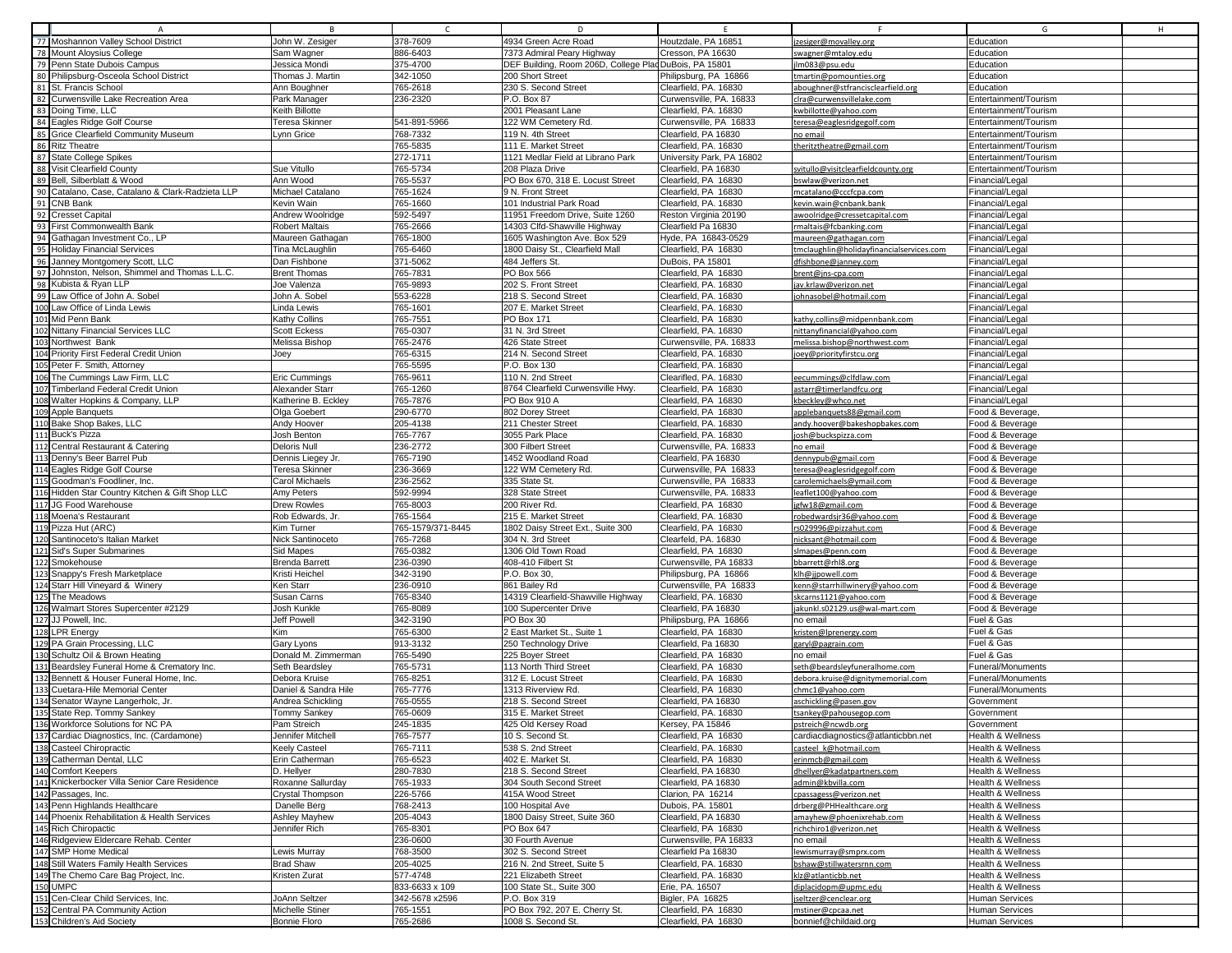|                                                                                                                                                                                                                                                                                                                                                                                                                                                                                                                                                                                                                                                                                                                                                                                                                                                                                                                                                                                                                                                                                                                                |                             |                   |                                                        |                           | F.                                       |                              |
|--------------------------------------------------------------------------------------------------------------------------------------------------------------------------------------------------------------------------------------------------------------------------------------------------------------------------------------------------------------------------------------------------------------------------------------------------------------------------------------------------------------------------------------------------------------------------------------------------------------------------------------------------------------------------------------------------------------------------------------------------------------------------------------------------------------------------------------------------------------------------------------------------------------------------------------------------------------------------------------------------------------------------------------------------------------------------------------------------------------------------------|-----------------------------|-------------------|--------------------------------------------------------|---------------------------|------------------------------------------|------------------------------|
| $\overline{A}$<br>77 Moshannon Valley School District                                                                                                                                                                                                                                                                                                                                                                                                                                                                                                                                                                                                                                                                                                                                                                                                                                                                                                                                                                                                                                                                          | <b>B</b><br>John W. Zesiger | 378-7609          | D<br>4934 Green Acre Road                              | E.<br>Houtzdale, PA 16851 | zesiger@movalley.org                     | G<br>H<br>Education          |
| 78 Mount Aloysius College                                                                                                                                                                                                                                                                                                                                                                                                                                                                                                                                                                                                                                                                                                                                                                                                                                                                                                                                                                                                                                                                                                      | Sam Wagner                  | 886-6403          | 7373 Admiral Peary Highway                             | Cresson, PA 16630         | swagner@mtaloy.edu                       | Education                    |
| 79 Penn State Dubois Campus                                                                                                                                                                                                                                                                                                                                                                                                                                                                                                                                                                                                                                                                                                                                                                                                                                                                                                                                                                                                                                                                                                    | Jessica Mondi               | 375-4700          | DEF Building, Room 206D, College Plad DuBois, PA 15801 |                           | Im083@psu.edu                            | Education                    |
| 80 Philipsburg-Osceola School District                                                                                                                                                                                                                                                                                                                                                                                                                                                                                                                                                                                                                                                                                                                                                                                                                                                                                                                                                                                                                                                                                         | Thomas J. Martin            | 342-1050          | 200 Short Street                                       | Philipsburg, PA 16866     | tmartin@pomounties.org                   | Education                    |
| 81 St. Francis School                                                                                                                                                                                                                                                                                                                                                                                                                                                                                                                                                                                                                                                                                                                                                                                                                                                                                                                                                                                                                                                                                                          | Ann Boughner                | 765-2618          | 230 S. Second Street                                   | Clearfield, PA. 16830     | aboughner@stfrancisclearfield.org        | Education                    |
| 82 Curwensville Lake Recreation Area                                                                                                                                                                                                                                                                                                                                                                                                                                                                                                                                                                                                                                                                                                                                                                                                                                                                                                                                                                                                                                                                                           | Park Manager                | 236-2320          | P.O. Box 87                                            | Curwensville, PA, 16833   | clra@curwensvillelake.com                | Entertainment/Tourism        |
| 83 Doing Time, LLC                                                                                                                                                                                                                                                                                                                                                                                                                                                                                                                                                                                                                                                                                                                                                                                                                                                                                                                                                                                                                                                                                                             | Keith Billotte              |                   | 2001 Pleasant Lane                                     | Clearfield, PA. 16830     | kwbillotte@yahoo.com                     | Entertainment/Tourism        |
| 84 Eagles Ridge Golf Course                                                                                                                                                                                                                                                                                                                                                                                                                                                                                                                                                                                                                                                                                                                                                                                                                                                                                                                                                                                                                                                                                                    | <b>Teresa Skinner</b>       | 541-891-5966      | 122 WM Cemetery Rd.                                    | Curwensville, PA 16833    | teresa@eaglesridgegolf.com               | Entertainment/Tourism        |
| 85 Grice Clearfield Community Museum                                                                                                                                                                                                                                                                                                                                                                                                                                                                                                                                                                                                                                                                                                                                                                                                                                                                                                                                                                                                                                                                                           | Lynn Grice                  | 768-7332          | 119 N. 4th Street                                      | Clearfield, PA 16830      | no email                                 | Entertainment/Tourism        |
| 86 Ritz Theatre                                                                                                                                                                                                                                                                                                                                                                                                                                                                                                                                                                                                                                                                                                                                                                                                                                                                                                                                                                                                                                                                                                                |                             | 765-5835          | 111 E. Market Street                                   | Clearfield, PA. 16830     |                                          | Entertainment/Tourism        |
| 87 State College Spikes                                                                                                                                                                                                                                                                                                                                                                                                                                                                                                                                                                                                                                                                                                                                                                                                                                                                                                                                                                                                                                                                                                        |                             | 272-1711          | 1121 Medlar Field at Librano Park                      |                           | heritztheatre@gmail.com                  |                              |
|                                                                                                                                                                                                                                                                                                                                                                                                                                                                                                                                                                                                                                                                                                                                                                                                                                                                                                                                                                                                                                                                                                                                |                             |                   |                                                        | University Park, PA 16802 |                                          | Entertainment/Tourism        |
| 88 Visit Clearfield County                                                                                                                                                                                                                                                                                                                                                                                                                                                                                                                                                                                                                                                                                                                                                                                                                                                                                                                                                                                                                                                                                                     | Sue Vitullo                 | 765-5734          | 208 Plaza Drive                                        | Clearfield, PA 16830      | svitullo@visitclearfieldcounty.org       | Entertainment/Tourism        |
| 89 Bell, Silberblatt & Wood                                                                                                                                                                                                                                                                                                                                                                                                                                                                                                                                                                                                                                                                                                                                                                                                                                                                                                                                                                                                                                                                                                    | Ann Wood                    | 765-5537          | PO Box 670, 318 E. Locust Street                       | Clearfield, PA 16830      | oswlaw@verizon.net                       | Financial/Legal              |
| 90 Catalano, Case, Catalano & Clark-Radzieta LLP                                                                                                                                                                                                                                                                                                                                                                                                                                                                                                                                                                                                                                                                                                                                                                                                                                                                                                                                                                                                                                                                               | Michael Catalano            | 765-1624          | 9 N. Front Street                                      | Clearfield, PA 16830      | mcatalano@cccfcpa.com                    | Financial/Legal              |
| 91 CNB Bank                                                                                                                                                                                                                                                                                                                                                                                                                                                                                                                                                                                                                                                                                                                                                                                                                                                                                                                                                                                                                                                                                                                    | Kevin Wain                  | 765-1660          | 101 Industrial Park Road                               | Clearfield, PA. 16830     | kevin.wain@cnbank.bank                   | Financial/Legal              |
| 92 Cresset Capital                                                                                                                                                                                                                                                                                                                                                                                                                                                                                                                                                                                                                                                                                                                                                                                                                                                                                                                                                                                                                                                                                                             | Andrew Woolridge            | 592-5497          | 11951 Freedom Drive, Suite 1260                        | Reston Virginia 20190     | awoolridge@cressetcapital.com            | Financial/Legal              |
| 93 First Commonwealth Bank                                                                                                                                                                                                                                                                                                                                                                                                                                                                                                                                                                                                                                                                                                                                                                                                                                                                                                                                                                                                                                                                                                     | <b>Robert Maltais</b>       | 765-2666          | 14303 Clfd-Shawville Highway                           | Clearfield Pa 16830       | maltais@fcbanking.com                    | Financial/Legal              |
| Gathagan Investment Co., LP<br>94                                                                                                                                                                                                                                                                                                                                                                                                                                                                                                                                                                                                                                                                                                                                                                                                                                                                                                                                                                                                                                                                                              | Maureen Gathagan            | 765-1800          | 1605 Washington Ave. Box 529                           | Hyde, PA 16843-0529       | maureen@gathagan.com                     | Financial/Legal              |
| <b>Holiday Financial Services</b>                                                                                                                                                                                                                                                                                                                                                                                                                                                                                                                                                                                                                                                                                                                                                                                                                                                                                                                                                                                                                                                                                              | Tina McLaughlin             | 765-6460          | 1800 Daisy St., Clearfield Mall                        | Clearfield, PA 16830      | tmclaughlin@holidayfinancialservices.com | Financial/Legal              |
| Janney Montgomery Scott, LLC                                                                                                                                                                                                                                                                                                                                                                                                                                                                                                                                                                                                                                                                                                                                                                                                                                                                                                                                                                                                                                                                                                   | Dan Fishbone                | 371-5062          | 484 Jeffers St.                                        | DuBois, PA 15801          | dfishbone@janney.com                     | Financial/Legal              |
| Johnston, Nelson, Shimmel and Thomas L.L.C.                                                                                                                                                                                                                                                                                                                                                                                                                                                                                                                                                                                                                                                                                                                                                                                                                                                                                                                                                                                                                                                                                    | <b>Brent Thomas</b>         | 765-7831          | PO Box 566                                             | Clearfield, PA 16830      | brent@jns-cpa.com                        | Financial/Legal              |
| Kubista & Ryan LLP                                                                                                                                                                                                                                                                                                                                                                                                                                                                                                                                                                                                                                                                                                                                                                                                                                                                                                                                                                                                                                                                                                             | Joe Valenza                 | 765-9893          | 202 S. Front Street                                    | Clearfield, PA. 16830     | jav.krlaw@verizon.net                    | Financial/Legal              |
| Law Office of John A. Sobel<br>99                                                                                                                                                                                                                                                                                                                                                                                                                                                                                                                                                                                                                                                                                                                                                                                                                                                                                                                                                                                                                                                                                              | John A. Sobel               | 553-6228          | 218 S. Second Street                                   | Clearfield, PA. 16830     | ohnasobel@hotmail.com                    | Financial/Legal              |
| 100 Law Office of Linda Lewis                                                                                                                                                                                                                                                                                                                                                                                                                                                                                                                                                                                                                                                                                                                                                                                                                                                                                                                                                                                                                                                                                                  | Linda Lewis                 | 765-1601          | 207 E. Market Street                                   | Clearfield, PA. 16830     |                                          | Financial/Legal              |
| 101 Mid Penn Bank                                                                                                                                                                                                                                                                                                                                                                                                                                                                                                                                                                                                                                                                                                                                                                                                                                                                                                                                                                                                                                                                                                              | <b>Kathy Collins</b>        | 765-7551          | <b>PO Box 171</b>                                      | Clearfield, PA 16830      | kathy,collins@midpennbank.com            | Financial/Legal              |
| 102 Nittany Financial Services LLC                                                                                                                                                                                                                                                                                                                                                                                                                                                                                                                                                                                                                                                                                                                                                                                                                                                                                                                                                                                                                                                                                             | <b>Scott Eckess</b>         | 765-0307          | 31 N. 3rd Street                                       | Clearfield, PA. 16830     | nittanyfinancial@yahoo.com               | Financial/Legal              |
| 103 Northwest Bank                                                                                                                                                                                                                                                                                                                                                                                                                                                                                                                                                                                                                                                                                                                                                                                                                                                                                                                                                                                                                                                                                                             | Melissa Bishop              | 765-2476          | 426 State Street                                       | Curwensville, PA. 16833   | melissa.bishop@northwest.com             | Financial/Legal              |
| 104 Priority First Federal Credit Union                                                                                                                                                                                                                                                                                                                                                                                                                                                                                                                                                                                                                                                                                                                                                                                                                                                                                                                                                                                                                                                                                        | Joey                        | 765-6315          | 214 N. Second Street                                   | Clearfield, PA, 16830     | oey@priorityfirstcu.org                  | Financial/Legal              |
| 105 Peter F. Smith, Attorney                                                                                                                                                                                                                                                                                                                                                                                                                                                                                                                                                                                                                                                                                                                                                                                                                                                                                                                                                                                                                                                                                                   |                             | 765-5595          | P.O. Box 130                                           | Clearfield, PA. 16830     |                                          | Financial/Legal              |
| 106 The Cummings Law Firm, LLC                                                                                                                                                                                                                                                                                                                                                                                                                                                                                                                                                                                                                                                                                                                                                                                                                                                                                                                                                                                                                                                                                                 | <b>Eric Cummings</b>        | 765-9611          | 110 N. 2nd Street                                      | Clearifled, PA. 16830     | eecummings@clfdlaw.com                   | Financial/Legal              |
| Timberland Federal Credit Union<br>107                                                                                                                                                                                                                                                                                                                                                                                                                                                                                                                                                                                                                                                                                                                                                                                                                                                                                                                                                                                                                                                                                         | Alexander Starr             | 765-1260          | 8764 Clearfield Curwensville Hwy.                      | Clearfield, PA 16830      | astarr@timerlandfcu.org                  | Financial/Legal              |
| 108 Walter Hopkins & Company, LLP                                                                                                                                                                                                                                                                                                                                                                                                                                                                                                                                                                                                                                                                                                                                                                                                                                                                                                                                                                                                                                                                                              | Katherine B. Eckley         | 765-7876          | PO Box 910 A                                           | Clearfield, PA 16830      | kbeckley@whco.net                        | Financial/Legal              |
| 109 Apple Banquets                                                                                                                                                                                                                                                                                                                                                                                                                                                                                                                                                                                                                                                                                                                                                                                                                                                                                                                                                                                                                                                                                                             | Olga Goebert                | 290-6770          | 802 Dorey Street                                       | Clearfield, PA 16830      | applebanquets88@gmail.com                | Food & Beverage              |
| 110 Bake Shop Bakes, LLC                                                                                                                                                                                                                                                                                                                                                                                                                                                                                                                                                                                                                                                                                                                                                                                                                                                                                                                                                                                                                                                                                                       |                             | 205-4138          | 211 Chester Street                                     | Clearfield, PA. 16830     |                                          |                              |
| 111 Buck's Pizza                                                                                                                                                                                                                                                                                                                                                                                                                                                                                                                                                                                                                                                                                                                                                                                                                                                                                                                                                                                                                                                                                                               | Andy Hoover                 |                   |                                                        |                           | andy.hoover@bakeshopbakes.com            | Food & Beverage              |
|                                                                                                                                                                                                                                                                                                                                                                                                                                                                                                                                                                                                                                                                                                                                                                                                                                                                                                                                                                                                                                                                                                                                | Josh Benton                 | 765-7767          | 3055 Park Place                                        | Clearfield, PA. 16830     | iosh@buckspizza.com                      | Food & Beverage              |
| 112 Central Restaurant & Catering                                                                                                                                                                                                                                                                                                                                                                                                                                                                                                                                                                                                                                                                                                                                                                                                                                                                                                                                                                                                                                                                                              | <b>Deloris Null</b>         | 236-2772          | 300 Filbert Street                                     | Curwensville, PA. 16833   | no email                                 | Food & Beverage              |
| 113 Denny's Beer Barrel Pub                                                                                                                                                                                                                                                                                                                                                                                                                                                                                                                                                                                                                                                                                                                                                                                                                                                                                                                                                                                                                                                                                                    | Dennis Liegey Jr.           | 765-7190          | 1452 Woodland Road                                     | Clearfield, PA 16830      | dennypub@gmail.com                       | Food & Beverage              |
| 114 Eagles Ridge Golf Course                                                                                                                                                                                                                                                                                                                                                                                                                                                                                                                                                                                                                                                                                                                                                                                                                                                                                                                                                                                                                                                                                                   | <b>Teresa Skinner</b>       | 236-3669          | 122 WM Cemetery Rd                                     | Curwensville, PA 16833    | ceresa@eaglesridgegolf.com               | Food & Beverage              |
| 115 Goodman's Foodliner, Inc.                                                                                                                                                                                                                                                                                                                                                                                                                                                                                                                                                                                                                                                                                                                                                                                                                                                                                                                                                                                                                                                                                                  | <b>Carol Michaels</b>       | 236-2562          | 335 State St.                                          | Curwensville, PA 16833    | carolemichaels@ymail.com                 | Food & Beverage              |
| 116 Hidden Star Country Kitchen & Gift Shop LLC                                                                                                                                                                                                                                                                                                                                                                                                                                                                                                                                                                                                                                                                                                                                                                                                                                                                                                                                                                                                                                                                                | Amy Peters                  | 592-9994          | 328 State Street                                       | Curwensville, PA. 16833   | leaflet100@yahoo.com                     | Food & Beverage              |
| 117 JG Food Warehouse                                                                                                                                                                                                                                                                                                                                                                                                                                                                                                                                                                                                                                                                                                                                                                                                                                                                                                                                                                                                                                                                                                          | <b>Drew Rowles</b>          | 765-8003          | 200 River Rd.                                          | Clearfield, PA 16830      | jgfw18@gmail.com                         | Food & Beverage              |
| 118 Moena's Restaurant                                                                                                                                                                                                                                                                                                                                                                                                                                                                                                                                                                                                                                                                                                                                                                                                                                                                                                                                                                                                                                                                                                         | Rob Edwards, Jr.            | 765-1564          | 215 E. Market Street                                   | Clearfield, PA. 16830     | obedwardsjr36@yahoo.com                  | Food & Beverage              |
|                                                                                                                                                                                                                                                                                                                                                                                                                                                                                                                                                                                                                                                                                                                                                                                                                                                                                                                                                                                                                                                                                                                                |                             |                   |                                                        |                           |                                          |                              |
|                                                                                                                                                                                                                                                                                                                                                                                                                                                                                                                                                                                                                                                                                                                                                                                                                                                                                                                                                                                                                                                                                                                                | Kim Turner                  | 765-1579/371-8445 | 1802 Daisy Street Ext., Suite 300                      | Clearfield, PA 16830      | s029996@pizzahut.com                     | Food & Beverage              |
|                                                                                                                                                                                                                                                                                                                                                                                                                                                                                                                                                                                                                                                                                                                                                                                                                                                                                                                                                                                                                                                                                                                                | Nick Santinoceto            | 765-7268          | 304 N. 3rd Street                                      | Clearfeld, PA. 16830      | nicksant@hotmail.com                     | Food & Beverage              |
|                                                                                                                                                                                                                                                                                                                                                                                                                                                                                                                                                                                                                                                                                                                                                                                                                                                                                                                                                                                                                                                                                                                                | Sid Mapes                   | 765-0382          | 1306 Old Town Road                                     | Clearfield, PA 16830      | slmapes@penn.com                         | Food & Beverage              |
|                                                                                                                                                                                                                                                                                                                                                                                                                                                                                                                                                                                                                                                                                                                                                                                                                                                                                                                                                                                                                                                                                                                                | Brenda Barrett              | 236-0390          | 408-410 Filbert St                                     | Curwensville, PA 16833    | bbarrett@rhl8.org                        | Food & Beverage              |
|                                                                                                                                                                                                                                                                                                                                                                                                                                                                                                                                                                                                                                                                                                                                                                                                                                                                                                                                                                                                                                                                                                                                | Kristi Heichel              | 342-3190          | P.O. Box 30,                                           | Philipsburg, PA 16866     | klh@jjpowell.com                         | Food & Beverage              |
|                                                                                                                                                                                                                                                                                                                                                                                                                                                                                                                                                                                                                                                                                                                                                                                                                                                                                                                                                                                                                                                                                                                                | Ken Starr                   | 236-0910          | 861 Bailey Rd                                          | Curwensville, PA 16833    | kenn@starrhillwinery@yahoo.com           | Food & Beverage              |
| The Meadows                                                                                                                                                                                                                                                                                                                                                                                                                                                                                                                                                                                                                                                                                                                                                                                                                                                                                                                                                                                                                                                                                                                    | Susan Carns                 | 765-8340          | 14319 Clearfield-Shawville Highway                     | Clearfield, PA. 16830     | skcarns1121@yahoo.com                    | Food & Beverage              |
|                                                                                                                                                                                                                                                                                                                                                                                                                                                                                                                                                                                                                                                                                                                                                                                                                                                                                                                                                                                                                                                                                                                                | Josh Kunkle                 | 765-8089          | 100 Supercenter Drive                                  | Clearfield, PA 16830      | jakunkl.s02129.us@wal-mart.com           | Food & Beverage              |
|                                                                                                                                                                                                                                                                                                                                                                                                                                                                                                                                                                                                                                                                                                                                                                                                                                                                                                                                                                                                                                                                                                                                | <b>Jeff Powell</b>          |                   | PO Box 30                                              |                           | no email                                 |                              |
|                                                                                                                                                                                                                                                                                                                                                                                                                                                                                                                                                                                                                                                                                                                                                                                                                                                                                                                                                                                                                                                                                                                                |                             | 342-3190          |                                                        | Philipsburg, PA 16866     |                                          | Fuel & Gas                   |
|                                                                                                                                                                                                                                                                                                                                                                                                                                                                                                                                                                                                                                                                                                                                                                                                                                                                                                                                                                                                                                                                                                                                | Kim                         | 765-6300          | 2 East Market St., Suite 1                             | Clearfield, PA 16830      | kristen@Iprenergy.com                    | Fuel & Gas<br>Fuel & Gas     |
|                                                                                                                                                                                                                                                                                                                                                                                                                                                                                                                                                                                                                                                                                                                                                                                                                                                                                                                                                                                                                                                                                                                                | Gary Lyons                  | 913-3132          | 250 Technology Drive                                   | Clearfield, Pa 16830      | garyl@pagrain.com                        |                              |
|                                                                                                                                                                                                                                                                                                                                                                                                                                                                                                                                                                                                                                                                                                                                                                                                                                                                                                                                                                                                                                                                                                                                | Donald M. Zimmerman         | 765-5490          | 225 Boyer Street                                       | Clearfield, PA 16830      | no email                                 | Fuel & Gas                   |
|                                                                                                                                                                                                                                                                                                                                                                                                                                                                                                                                                                                                                                                                                                                                                                                                                                                                                                                                                                                                                                                                                                                                | Seth Beardsley              | 765-5731          | 113 North Third Street                                 | Clearfield, PA 16830      | seth@beardsleyfuneralhome.com            | Funeral/Monuments            |
|                                                                                                                                                                                                                                                                                                                                                                                                                                                                                                                                                                                                                                                                                                                                                                                                                                                                                                                                                                                                                                                                                                                                | Debora Kruise               | 765-8251          | 312 E. Locust Street                                   | Clearfield, PA 16830      | debora.kruise@dignitymemorial.com        | Funeral/Monuments            |
|                                                                                                                                                                                                                                                                                                                                                                                                                                                                                                                                                                                                                                                                                                                                                                                                                                                                                                                                                                                                                                                                                                                                | Daniel & Sandra Hile        | 765-7776          | 1313 Riverview Rd.                                     | Clearfield, PA 16830      | chmc1@yahoo.com                          | Funeral/Monuments            |
|                                                                                                                                                                                                                                                                                                                                                                                                                                                                                                                                                                                                                                                                                                                                                                                                                                                                                                                                                                                                                                                                                                                                | Andrea Schickling           | 765-0555          | 218 S. Second Street                                   | Clearfield, PA 16830      | aschickling@pasen.gov                    | Government                   |
|                                                                                                                                                                                                                                                                                                                                                                                                                                                                                                                                                                                                                                                                                                                                                                                                                                                                                                                                                                                                                                                                                                                                | Tommy Sankey                | 765-0609          | 315 E. Market Street                                   | Clearfield, PA. 16830     | <u>tsankey@panousegop.com</u>            | Government                   |
|                                                                                                                                                                                                                                                                                                                                                                                                                                                                                                                                                                                                                                                                                                                                                                                                                                                                                                                                                                                                                                                                                                                                | Pam Streich                 | 245-1835          | 425 Old Kersey Road                                    | Kersey, PA 15846          | pstreich@ncwdb.org                       | Government                   |
|                                                                                                                                                                                                                                                                                                                                                                                                                                                                                                                                                                                                                                                                                                                                                                                                                                                                                                                                                                                                                                                                                                                                | Jennifer Mitchell           | 765-7577          | 10 S. Second St.                                       | Clearfield, PA 16830      | cardiacdiagnostics@atlanticbbn.net       | Health & Wellness            |
|                                                                                                                                                                                                                                                                                                                                                                                                                                                                                                                                                                                                                                                                                                                                                                                                                                                                                                                                                                                                                                                                                                                                | <b>Keely Casteel</b>        | 765-7111          | 538 S. 2nd Street                                      | Clearfield, PA. 16830     | casteel k@hotmail.com                    | Health & Wellness            |
|                                                                                                                                                                                                                                                                                                                                                                                                                                                                                                                                                                                                                                                                                                                                                                                                                                                                                                                                                                                                                                                                                                                                | Erin Catherman              | 765-6523          | 402 E. Market St.                                      | Clearfield, PA 16830      | erinmcb@gmail.com                        | Health & Wellness            |
|                                                                                                                                                                                                                                                                                                                                                                                                                                                                                                                                                                                                                                                                                                                                                                                                                                                                                                                                                                                                                                                                                                                                | D. Hellyer                  | 280-7830          | 218 S. Second Street                                   | Clearfield, PA 16830      | dhellyer@kadatpartners.com               | <b>Health &amp; Wellness</b> |
|                                                                                                                                                                                                                                                                                                                                                                                                                                                                                                                                                                                                                                                                                                                                                                                                                                                                                                                                                                                                                                                                                                                                | Roxanne Sallurday           | 765-1933          | 304 South Second Street                                | Clearfield, PA 16830      | admin@kbvilla.com                        | <b>Health &amp; Wellness</b> |
|                                                                                                                                                                                                                                                                                                                                                                                                                                                                                                                                                                                                                                                                                                                                                                                                                                                                                                                                                                                                                                                                                                                                | Crystal Thompson            | 226-5766          | 415A Wood Street                                       | Clarion, PA 16214         | cpassagess@verizon.net                   | Health & Wellness            |
|                                                                                                                                                                                                                                                                                                                                                                                                                                                                                                                                                                                                                                                                                                                                                                                                                                                                                                                                                                                                                                                                                                                                | Danelle Berg                | 768-2413          | 100 Hospital Ave                                       | Dubois, PA. 15801         | drberg@PHHealthcare.org                  | Health & Wellness            |
|                                                                                                                                                                                                                                                                                                                                                                                                                                                                                                                                                                                                                                                                                                                                                                                                                                                                                                                                                                                                                                                                                                                                | Ashley Mayhew               | 205-4043          | 1800 Daisy Street, Suite 360                           | Clearfield, PA 16830      | amayhew@phoenixrehab.com                 | Health & Wellness            |
|                                                                                                                                                                                                                                                                                                                                                                                                                                                                                                                                                                                                                                                                                                                                                                                                                                                                                                                                                                                                                                                                                                                                | Jennifer Rich               | 765-8301          | PO Box 647                                             | Clearfield, PA 16830      | ichchiro1@verizon.net                    | Health & Wellness            |
|                                                                                                                                                                                                                                                                                                                                                                                                                                                                                                                                                                                                                                                                                                                                                                                                                                                                                                                                                                                                                                                                                                                                |                             | 236-0600          | 30 Fourth Avenue                                       | Curwensville, PA 16833    | no email                                 | Health & Wellness            |
|                                                                                                                                                                                                                                                                                                                                                                                                                                                                                                                                                                                                                                                                                                                                                                                                                                                                                                                                                                                                                                                                                                                                | Lewis Murray                | 768-3500          | 302 S. Second Street                                   | Clearfield Pa 16830       | ewismurray@smprx.com                     | Health & Wellness            |
|                                                                                                                                                                                                                                                                                                                                                                                                                                                                                                                                                                                                                                                                                                                                                                                                                                                                                                                                                                                                                                                                                                                                | <b>Brad Shaw</b>            | 205-4025          | 216 N. 2nd Street, Suite 5                             | Clearfield, PA. 16830     | bshaw@stillwatersrnn.com                 | Health & Wellness            |
|                                                                                                                                                                                                                                                                                                                                                                                                                                                                                                                                                                                                                                                                                                                                                                                                                                                                                                                                                                                                                                                                                                                                | Kristen Zurat               | 577-4748          | 221 Elizabeth Street                                   | Clearfield, PA. 16830     | klz@atlanticbb.net                       | Health & Wellness            |
|                                                                                                                                                                                                                                                                                                                                                                                                                                                                                                                                                                                                                                                                                                                                                                                                                                                                                                                                                                                                                                                                                                                                |                             | 833-6633 x 109    | 100 State St., Suite 300                               | Erie, PA. 16507           | diplacidopm@upmc.edu                     | Health & Wellness            |
|                                                                                                                                                                                                                                                                                                                                                                                                                                                                                                                                                                                                                                                                                                                                                                                                                                                                                                                                                                                                                                                                                                                                | JoAnn Seltzer               | 342-5678 x2596    | P.O. Box 319                                           | Bigler, PA 16825          | seltzer@cenclear.org                     | Human Services               |
| 119 Pizza Hut (ARC)<br>120 Santinoceto's Italian Market<br>121 Sid's Super Submarines<br>122 Smokehouse<br>123 Snappy's Fresh Marketplace<br>124 Starr Hill Vineyard & Winery<br>126 Walmart Stores Supercenter #2129<br>127 JJ Powell, Inc.<br>128 LPR Energy<br>129 PA Grain Processing, LLC<br>130 Schultz Oil & Brown Heating<br>131 Beardsley Funeral Home & Crematory Inc.<br>132 Bennett & Houser Funeral Home, Inc.<br>133 Cuetara-Hile Memorial Center<br>134 Senator Wayne Langerholc, Jr.<br>135 State Rep. Tommy Sankey<br>136 Workforce Solutions for NC PA<br>137 Cardiac Diagnostics, Inc. (Cardamone)<br>138 Casteel Chiropractic<br>139 Catherman Dental, LLC<br>140 Comfort Keepers<br>141 Knickerbocker Villa Senior Care Residence<br>142 Passages, Inc.<br>143 Penn Highlands Healthcare<br>144 Phoenix Rehabilitation & Health Services<br>145 Rich Chiropactic<br>146 Ridgeview Eldercare Rehab. Center<br>147 SMP Home Medical<br>148 Still Waters Family Health Services<br>149 The Chemo Care Bag Project, Inc.<br>150 UMPC<br>151 Cen-Clear Child Services, Inc.<br>152 Central PA Community Action | Michelle Stiner             | 765-1551          | PO Box 792, 207 E. Cherry St.                          | Clearfield, PA 16830      | mstiner@cpcaa.net                        | Human Services               |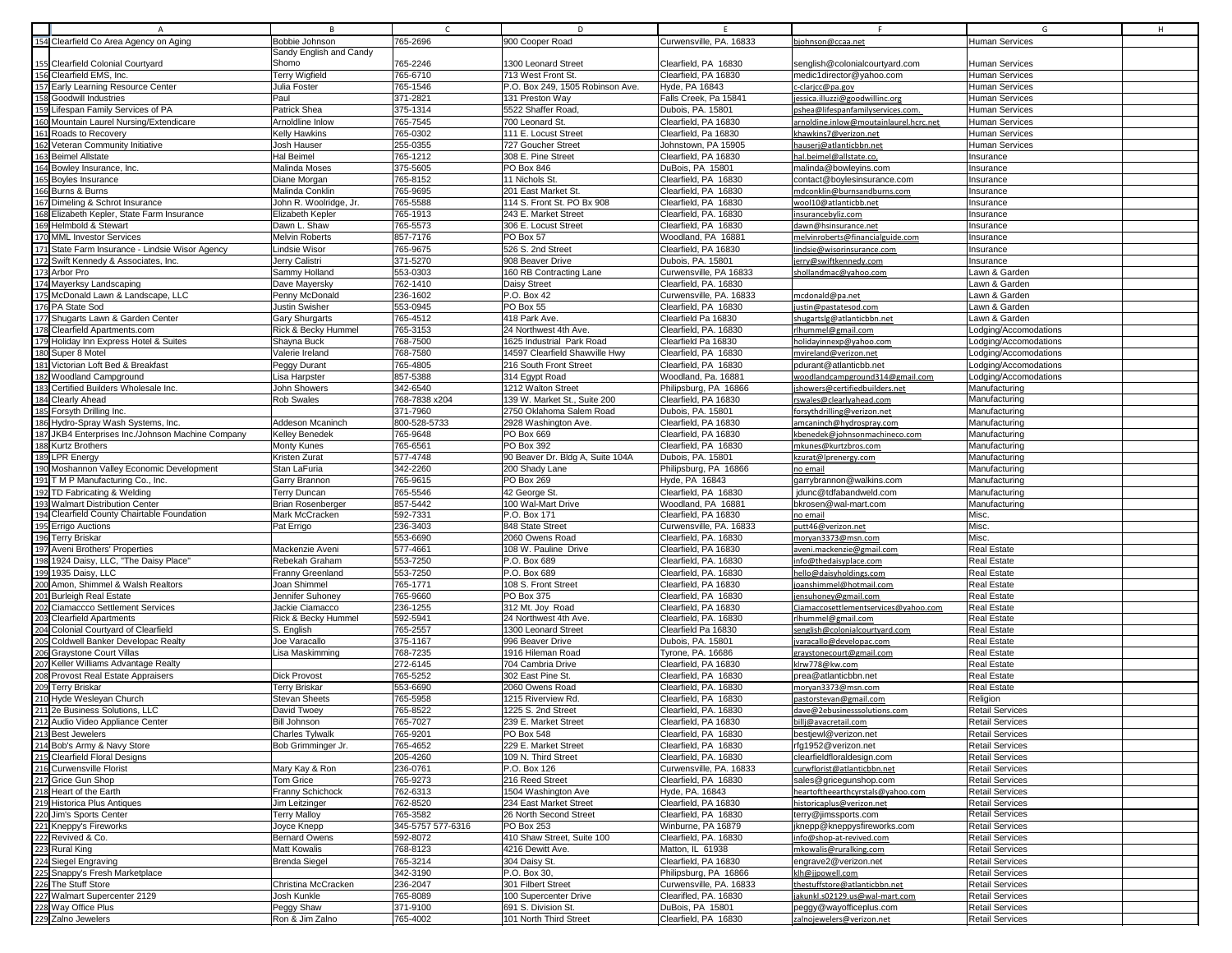|                  | A                                               | B <sub>1</sub>           | $\mathsf{C}$      | D                                |                         |                                        | G                      | н |
|------------------|-------------------------------------------------|--------------------------|-------------------|----------------------------------|-------------------------|----------------------------------------|------------------------|---|
|                  | 154 Clearfield Co Area Agency on Aging          | Bobbie Johnson           | 765-2696          | 900 Cooper Road                  | Curwensville, PA. 16833 | bjohnson@ccaa.net                      | <b>Human Services</b>  |   |
|                  |                                                 | Sandy English and Candy  |                   |                                  |                         |                                        |                        |   |
|                  | 155 Clearfield Colonial Courtyard               | Shomo                    |                   | 1300 Leonard Street              |                         |                                        | <b>Human Services</b>  |   |
|                  |                                                 |                          | 765-2246          |                                  | Clearfield, PA 16830    | senglish@colonialcourtyard.com         |                        |   |
|                  | 156 Clearfield EMS, Inc.                        | <b>Terry Wigfield</b>    | 765-6710          | 713 West Front St.               | Clearfield, PA 16830    | medic1director@yahoo.com               | <b>Human Services</b>  |   |
|                  | 157 Early Learning Resource Center              | Julia Foster             | 765-1546          | P.O. Box 249, 1505 Robinson Ave. | Hyde, PA 16843          | c-claricc@pa.gov                       | <b>Human Services</b>  |   |
|                  | <b>158 Goodwill Industries</b>                  | Paul                     | 371-2821          | 131 Preston Way                  | Falls Creek, Pa 15841   | essica.illuzzi@goodwillinc.org         | Human Services         |   |
| 159              | Lifespan Family Services of PA                  | Patrick Shea             | 375-1314          | 5522 Shaffer Road                | Dubois, PA. 15801       |                                        | <b>Human Services</b>  |   |
|                  |                                                 |                          |                   |                                  |                         | pshea@lifespanfamilyservices.com       |                        |   |
|                  | 160 Mountain Laurel Nursing/Extendicare         | Arnoldline Inlow         | 765-7545          | 700 Leonard St.                  | Clearfield, PA 16830    | arnoldine.inlow@moutainlaurel.hcrc.net | <b>Human Services</b>  |   |
|                  | 161 Roads to Recovery                           | Kelly Hawkins            | 765-0302          | 111 E. Locust Street             | Clearfield, Pa 16830    | khawkins7@verizon.net                  | <b>Human Services</b>  |   |
| 162              | Veteran Community Initiative                    | Josh Hauser              | 255-0355          | 727 Goucher Street               | Johnstown, PA 15905     | hauserj@atlanticbbn.net                | Human Services         |   |
|                  |                                                 |                          |                   |                                  |                         |                                        |                        |   |
|                  | 163 Beimel Allstate                             | <b>Hal Beimel</b>        | 765-1212          | 308 E. Pine Street               | Clearfield, PA 16830    | hal.beimel@allstate.co                 | Insurance              |   |
|                  | 164 Bowley Insurance, Inc.                      | Malinda Moses            | 375-5605          | PO Box 846                       | DuBois, PA 15801        | malinda@bowleyins.com                  | Insurance              |   |
|                  | 165 Boyles Insurance                            | Diane Morgan             | 765-8152          | 11 Nichols St.                   | Clearfield, PA 16830    | contact@boylesinsurance.com            | Insurance              |   |
|                  | 166 Burns & Burns                               | Malinda Conklin          | 765-9695          | 201 East Market St.              | Clearfield, PA 16830    | mdconklin@burnsandburns.com            | Insurance              |   |
|                  |                                                 |                          |                   | 114 S. Front St. PO Bx 908       |                         |                                        |                        |   |
|                  | 167 Dimeling & Schrot Insurance                 | John R. Woolridge, Jr.   | 765-5588          |                                  | Clearfield, PA 16830    | wool10@atlanticbb.net                  | Insurance              |   |
|                  | 168 Elizabeth Kepler, State Farm Insurance      | Elizabeth Kepler         | 765-1913          | 243 E. Market Street             | Clearfield, PA. 16830   | insurancebyliz.com                     | Insurance              |   |
|                  | 169 Helmbold & Stewart                          | Dawn L. Shaw             | 765-5573          | 306 E. Locust Street             | Clearfield, PA 16830    | dawn@hsinsurance.net                   | Insurance              |   |
|                  | 170 MML Investor Services                       | Melvin Roberts           | 857-7176          | PO Box 57                        | Woodland, PA 16881      | melvinroberts@financialguide.com       | Insurance              |   |
|                  | 171 State Farm Insurance - Lindsie Wisor Agency | Lindsie Wisor            | 765-9675          | 526 S. 2nd Street                | Clearfield, PA 16830    |                                        | Insurance              |   |
|                  |                                                 |                          |                   |                                  |                         | lindsie@wisorinsurance.com             |                        |   |
|                  | 172 Swift Kennedy & Associates, Inc.            | Jerry Calistri           | 371-5270          | 908 Beaver Drive                 | Dubois, PA. 15801       | jerry@swiftkennedy.com                 | Insurance              |   |
|                  | 173 Arbor Pro                                   | Sammy Holland            | 553-0303          | 160 RB Contracting Lane          | Curwensville, PA 16833  | shollandmac@yahoo.com                  | Lawn & Garden          |   |
|                  | 174 Mayerksy Landscaping                        | Dave Mayersky            | 762-1410          | <b>Daisy Street</b>              | Clearfield, PA. 16830   |                                        | Lawn & Garder          |   |
|                  | 175 McDonald Lawn & Landscape, LLC              |                          |                   | P.O. Box 42                      |                         |                                        |                        |   |
|                  |                                                 | Penny McDonald           | 236-1602          |                                  | Curwensville, PA. 16833 | mcdonald@pa.net                        | Lawn & Garden          |   |
|                  | 176 PA State Sod                                | Justin Swisher           | 553-0945          | PO Box 55                        | Clearfield, PA 16830    | justin@pastatesod.com                  | Lawn & Garden          |   |
|                  | 177 Shugarts Lawn & Garden Center               | Gary Shurgarts           | 765-4512          | 418 Park Ave.                    | Clearfield Pa 16830     | shugartslg@atlanticbbn.net             | Lawn & Garden          |   |
|                  | 178 Clearfield Apartments.com                   | Rick & Becky Hummel      | 765-3153          | 24 Northwest 4th Ave.            | Clearfield, PA. 16830   | rlhummel@gmail.com                     | Lodging/Accomodations  |   |
|                  |                                                 |                          |                   | 1625 Industrial Park Road        | Clearfield Pa 16830     |                                        |                        |   |
|                  | 179 Holiday Inn Express Hotel & Suites          | Shayna Buck              | 768-7500          |                                  |                         | holidayinnexp@yahoo.com                | Lodging/Accomodations  |   |
|                  | 180 Super 8 Motel                               | Valerie Ireland          | 768-7580          | 14597 Clearfield Shawville Hwy   | Clearfield, PA 16830    | mvireland@verizon.net                  | Lodging/Accomodations  |   |
|                  | 181 Victorian Loft Bed & Breakfast              | Peggy Durant             | 765-4805          | 216 South Front Street           | Clearfield, PA 16830    | pdurant@atlanticbb.net                 | Lodging/Accomodations  |   |
|                  | 182 Woodland Campground                         | Lisa Harpster            | 857-5388          | 314 Egypt Road                   | Woodland, Pa. 16881     | woodlandcampground314@gmail.com        | Lodging/Accomodations  |   |
|                  |                                                 |                          |                   |                                  |                         |                                        |                        |   |
|                  | 183 Certified Builders Wholesale Inc.           | John Showers             | 342-6540          | 1212 Walton Street               | Philipsburg, PA 16866   | jshowers@certifiedbuilders.net         | Manufacturing          |   |
|                  | 184 Clearly Ahead                               | <b>Rob Swales</b>        | 768-7838 x204     | 139 W. Market St., Suite 200     | Clearfield, PA 16830    | rswales@clearlyahead.com               | Manufacturing          |   |
|                  | 185 Forsyth Drilling Inc.                       |                          | 371-7960          | 2750 Oklahoma Salem Road         | Dubois, PA. 15801       | forsythdrilling@verizon.net            | Manufacturing          |   |
|                  | 186 Hydro-Spray Wash Systems, Inc.              | Addeson Mcaninch         | 800-528-5733      | 2928 Washington Ave.             | Clearfield, PA 16830    | amcaninch@hydrospray.com               | Manufacturing          |   |
| 187              | JKB4 Enterprises Inc./Johnson Machine Company   | Kelley Benedek           | 765-9648          | PO Box 669                       | Clearfield, PA 16830    |                                        | Manufacturing          |   |
|                  |                                                 |                          |                   |                                  |                         | kbenedek@johnsonmachineco.com          |                        |   |
|                  | 188 Kurtz Brothers                              | Monty Kunes              | 765-6561          | PO Box 392                       | Clearfield, PA 16830    | mkunes@kurtzbros.com                   | Manufacturing          |   |
| 189 <sup>I</sup> | <b>LPR Enerav</b>                               | Kristen Zurat            | 577-4748          | 90 Beaver Dr. Bldg A, Suite 104A | Dubois, PA. 15801       | kzurat@Iprenergy.com                   | Manufacturing          |   |
|                  | 190 Moshannon Valley Economic Development       | Stan LaFuria             | 342-2260          | 200 Shady Lane                   | Philipsburg, PA 16866   | no email                               | Manufacturing          |   |
|                  | 191 T M P Manufacturing Co., Inc.               | Garry Brannon            | 765-9615          | PO Box 269                       | Hyde, PA 16843          | garrybrannon@walkins.com               | Manufacturing          |   |
|                  |                                                 |                          |                   |                                  |                         |                                        |                        |   |
|                  | 192 TD Fabricating & Welding                    | <b>Terry Duncan</b>      | 765-5546          | 42 George St.                    | Clearfield, PA 16830    | jdunc@tdfabandweld.com                 | Manufacturing          |   |
|                  | 193 Walmart Distribution Center                 | <b>Brian Rosenberger</b> | 857-5442          | 100 Wal-Mart Drive               | Woodland, PA 16881      | bkrosen@wal-mart.com                   | Manufacturing          |   |
|                  | 194 Clearfield County Chairtable Foundation     | Mark McCracken           | 592-7331          | P.O. Box 171                     | Clearfield, PA 16830    | no email                               | Misc.                  |   |
|                  | 195 Errigo Auctions                             | Pat Errigo               | 236-3403          | 848 State Street                 | Curwensville, PA. 16833 |                                        | Misc.                  |   |
|                  |                                                 |                          |                   |                                  |                         | putt46@verizon.net                     |                        |   |
|                  | 196 Terry Briskar                               |                          | 553-6690          | 2060 Owens Road                  | Clearfield, PA. 16830   | moryan3373@msn.com                     | Misc.                  |   |
|                  | 197 Aveni Brothers' Properties                  | Mackenzie Aveni          | 577-4661          | 108 W. Pauline Drive             | Clearfield, PA 16830    | aveni.mackenzie@gmail.com              | <b>Real Estate</b>     |   |
|                  | 198 1924 Daisy, LLC, "The Daisy Place"          | Rebekah Graham           | 553-7250          | P.O. Box 689                     | Clearfield, PA. 16830   | info@thedaisyplace.com                 | <b>Real Estate</b>     |   |
|                  | 199 1935 Daisy, LLC                             | Franny Greenland         | 553-7250          | P.O. Box 689                     | Clearfield, PA. 16830   | hello@daisyholdings.com                | <b>Real Estate</b>     |   |
|                  |                                                 |                          |                   |                                  |                         |                                        |                        |   |
|                  | 200 Amon, Shimmel & Walsh Realtors              | Joan Shimmel             | 765-1771          | 108 S. Front Street              | Clearfield, PA 16830    | joanshimmel@hotmail.com                | <b>Real Estate</b>     |   |
|                  | 201 Burleigh Real Estate                        | Jennifer Suhoney         | 765-9660          | PO Box 375                       | Clearfield, PA 16830    | jensuhoney@gmail.com                   | <b>Real Estate</b>     |   |
| 202              | Ciamaccco Settlement Services                   | Jackie Ciamacco          | 236-1255          | 312 Mt. Joy Road                 | Clearfield, PA 16830    | Ciamaccosettlementservices@yahoo.com   | <b>Real Estate</b>     |   |
|                  | 203 Clearfield Apartments                       | Rick & Becky Hummel      | 592-5941          | 24 Northwest 4th Ave             | Clearfield, PA. 16830   | rlhummel@gmail.com                     | <b>Real Estate</b>     |   |
|                  | 204 Colonial Courtyard of Clearfield            | S. English               | 765-2557          | 1300 Leonard Street              | Clearfield Pa 16830     | senglish@colonialcourtyard.com         | <b>Real Estate</b>     |   |
|                  |                                                 |                          |                   |                                  |                         |                                        |                        |   |
|                  | Coldwell Banker Developac Realty                | Joe Varacallo            | 375-1167          | 996 Beaver Drive                 | Dubois, PA. 15801       | jvaracallo@developac.com               | <b>Real Estate</b>     |   |
|                  | 206 Graystone Court Villas                      | Lisa Maskimming          | 768-7235          | 1916 Hileman Road                | Tyrone, PA. 16686       | graystonecourt@gmail.com               | <b>Real Estate</b>     |   |
| 207              | Keller Williams Advantage Realty                |                          | 272-6145          | 704 Cambria Drive                | Clearfield, PA 16830    | klrw778@kw.com                         | <b>Real Estate</b>     |   |
|                  | 208 Provost Real Estate Appraisers              | <b>Dick Provost</b>      | 765-5252          | 302 East Pine St.                | Clearfield, PA 16830    | prea@atlanticbbn.net                   | <b>Real Estate</b>     |   |
|                  | 209 Terry Briskar                               | <b>Terry Briskar</b>     | 553-6690          | 2060 Owens Road                  | Clearfield, PA. 16830   |                                        | <b>Real Estate</b>     |   |
|                  |                                                 |                          |                   |                                  |                         | moryan3373@msn.com                     |                        |   |
|                  | 210 Hyde Wesleyan Church                        | <b>Stevan Sheets</b>     | 765-5958          | 1215 Riverview Rd                | Clearfield, PA 16830    | pastorstevan@gmail.com                 | Religion               |   |
|                  | 211 2e Business Solutions, LLC                  | David Twoey              | 765-8522          | 1225 S. 2nd Street               | Clearfield, PA. 16830   | dave@2ebusinesssolutions.com           | <b>Retail Services</b> |   |
|                  | 212 Audio Video Appliance Center                | <b>Bill Johnson</b>      | 765-7027          | 239 E. Market Street             | Clearfield, PA 16830    | billj@avacretail.com                   | <b>Retail Services</b> |   |
|                  | 213 Best Jewelers                               | Charles Tylwalk          | 765-9201          | PO Box 548                       | Clearfield, PA 16830    | bestjewl@verizon.net                   | <b>Retail Services</b> |   |
|                  |                                                 |                          |                   |                                  |                         |                                        |                        |   |
|                  | 214 Bob's Army & Navy Store                     | Bob Grimminger Jr.       | 765-4652          | 229 E. Market Street             | Clearfield, PA 16830    | rfg1952@verizon.net                    | <b>Retail Services</b> |   |
|                  | 215 Clearfield Floral Designs                   |                          | 205-4260          | 109 N. Third Street              | Clearfield, PA. 16830   | clearfieldfloraldesign.com             | <b>Retail Services</b> |   |
|                  | 216 Curwensville Florist                        | Mary Kay & Ron           | 236-0761          | P.O. Box 126                     | Curwensville, PA. 16833 | curwflorist@atlanticbbn.net            | <b>Retail Services</b> |   |
|                  | 217 Grice Gun Shop                              | Tom Grice                | 765-9273          | 216 Reed Street                  | Clearfield, PA 16830    | sales@gricegunshop.com                 | <b>Retail Services</b> |   |
|                  |                                                 |                          |                   |                                  |                         |                                        |                        |   |
|                  | 218 Heart of the Earth                          | Franny Schichock         | 762-6313          | 1504 Washington Ave              | Hyde, PA. 16843         | heartoftheearthcyrstals@yahoo.com      | <b>Retail Services</b> |   |
|                  | 219 Historica Plus Antiques                     | Jim Leitzinger           | 762-8520          | 234 East Market Street           | Clearfield, PA 16830    | historicaplus@verizon.net              | <b>Retail Services</b> |   |
|                  | 220 Jim's Sports Center                         | <b>Terry Malloy</b>      | 765-3582          | 26 North Second Street           | Clearfield, PA 16830    | terry@jimssports.com                   | <b>Retail Services</b> |   |
|                  | 221 Kneppy's Fireworks                          | Joyce Knepp              | 345-5757 577-6316 | PO Box 253                       | Winburne, PA 16879      | jknepp@kneppysfireworks.com            | <b>Retail Services</b> |   |
|                  |                                                 |                          |                   |                                  |                         |                                        |                        |   |
|                  | 222 Revived & Co.                               | <b>Bernard Owens</b>     | 592-8072          | 410 Shaw Street, Suite 100       | Clearfield, PA. 16830   | info@shop-at-revived.com               | <b>Retail Services</b> |   |
|                  | 223 Rural King                                  | Matt Kowalis             | 768-8123          | 4216 Dewitt Ave.                 | Matton, IL 61938        | mkowalis@ruralking.com                 | <b>Retail Services</b> |   |
|                  | 224 Siegel Engraving                            | <b>Brenda Siegel</b>     | 765-3214          | 304 Daisy St.                    | Clearfield, PA 16830    | engrave2@verizon.net                   | <b>Retail Services</b> |   |
|                  | 225 Snappy's Fresh Marketplace                  |                          | 342-3190          | P.O. Box 30,                     | Philipsburg, PA 16866   | klh@jjpowell.com                       | <b>Retail Services</b> |   |
|                  | 226 The Stuff Store                             |                          | 236-2047          | 301 Filbert Street               | Curwensville, PA. 16833 |                                        | <b>Retail Services</b> |   |
|                  |                                                 | Christina McCracken      |                   |                                  |                         | thestuffstore@atlanticbbn.net          |                        |   |
|                  | 227 Walmart Supercenter 2129                    | Josh Kunkle              | 765-8089          | 100 Supercenter Drive            | Clearifled, PA. 16830   | jakunkl.s02129.us@wal-mart.com         | <b>Retail Services</b> |   |
|                  | 228 Way Office Plus                             | Peggy Shaw               | 371-9100          | 691 S. Division St.              | DuBois, PA 15801        | peggy@wayofficeplus.com                | <b>Retail Services</b> |   |
|                  | 229 Zalno Jewelers                              | Ron & Jim Zalno          | 765-4002          | 101 North Third Street           | Clearfield, PA 16830    | zalnojewelers@verizon.net              | <b>Retail Services</b> |   |